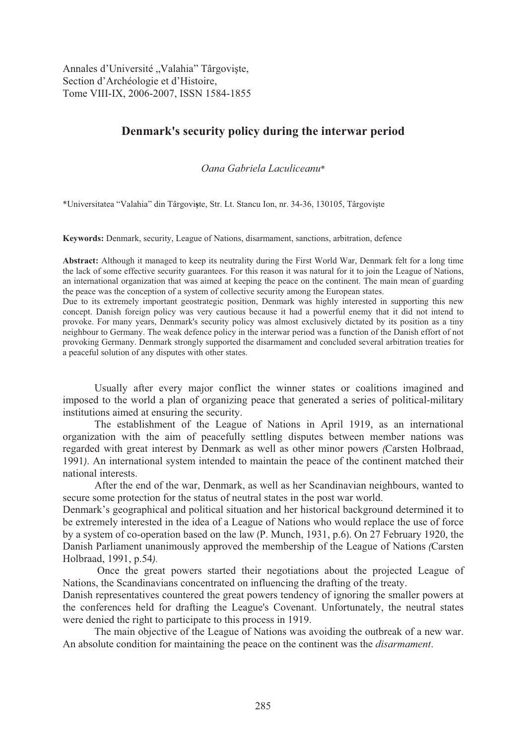Annales d'Université "Valahia" Târgoviște, Section d'Archéologie et d'Histoire, Tome VIII-IX, 2006-2007, ISSN 1584-1855

# **Denmark's security policy during the interwar period**

*Oana Gabriela Laculiceanu*\*

\*Universitatea "Valahia" din Târgovite, Str. Lt. Stancu Ion, nr. 34-36, 130105, Târgovi te

**Keywords:** Denmark, security, League of Nations, disarmament, sanctions, arbitration, defence

**Abstract:** Although it managed to keep its neutrality during the First World War, Denmark felt for a long time the lack of some effective security guarantees. For this reason it was natural for it to join the League of Nations, an international organization that was aimed at keeping the peace on the continent. The main mean of guarding the peace was the conception of a system of collective security among the European states.

Due to its extremely important geostrategic position, Denmark was highly interested in supporting this new concept. Danish foreign policy was very cautious because it had a powerful enemy that it did not intend to provoke. For many years, Denmark's security policy was almost exclusively dictated by its position as a tiny neighbour to Germany. The weak defence policy in the interwar period was a function of the Danish effort of not provoking Germany. Denmark strongly supported the disarmament and concluded several arbitration treaties for a peaceful solution of any disputes with other states.

Usually after every major conflict the winner states or coalitions imagined and imposed to the world a plan of organizing peace that generated a series of political-military institutions aimed at ensuring the security.

 The establishment of the League of Nations in April 1919, as an international organization with the aim of peacefully settling disputes between member nations was regarded with great interest by Denmark as well as other minor powers *(*Carsten Holbraad, 1991*)*. An international system intended to maintain the peace of the continent matched their national interests.

 After the end of the war, Denmark, as well as her Scandinavian neighbours, wanted to secure some protection for the status of neutral states in the post war world.

Denmark's geographical and political situation and her historical background determined it to be extremely interested in the idea of a League of Nations who would replace the use of force by a system of co-operation based on the law (P. Munch, 1931, p.6). On 27 February 1920, the Danish Parliament unanimously approved the membership of the League of Nations *(*Carsten Holbraad, 1991, p.54*)*.

 Once the great powers started their negotiations about the projected League of Nations, the Scandinavians concentrated on influencing the drafting of the treaty.

Danish representatives countered the great powers tendency of ignoring the smaller powers at the conferences held for drafting the League's Covenant. Unfortunately, the neutral states were denied the right to participate to this process in 1919.

 The main objective of the League of Nations was avoiding the outbreak of a new war. An absolute condition for maintaining the peace on the continent was the *disarmament*.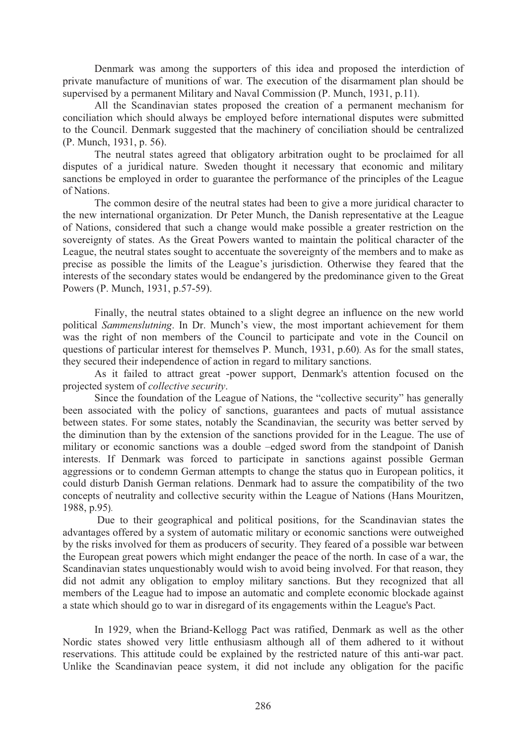Denmark was among the supporters of this idea and proposed the interdiction of private manufacture of munitions of war. The execution of the disarmament plan should be supervised by a permanent Military and Naval Commission (P. Munch, 1931, p.11).

All the Scandinavian states proposed the creation of a permanent mechanism for conciliation which should always be employed before international disputes were submitted to the Council. Denmark suggested that the machinery of conciliation should be centralized (P. Munch, 1931, p. 56).

The neutral states agreed that obligatory arbitration ought to be proclaimed for all disputes of a juridical nature. Sweden thought it necessary that economic and military sanctions be employed in order to guarantee the performance of the principles of the League of Nations.

The common desire of the neutral states had been to give a more juridical character to the new international organization. Dr Peter Munch, the Danish representative at the League of Nations, considered that such a change would make possible a greater restriction on the sovereignty of states. As the Great Powers wanted to maintain the political character of the League, the neutral states sought to accentuate the sovereignty of the members and to make as precise as possible the limits of the League's jurisdiction. Otherwise they feared that the interests of the secondary states would be endangered by the predominance given to the Great Powers (P. Munch, 1931, p.57-59).

Finally, the neutral states obtained to a slight degree an influence on the new world political *Sammenslutning*. In Dr. Munch's view, the most important achievement for them was the right of non members of the Council to participate and vote in the Council on questions of particular interest for themselves P. Munch, 1931, p.60). As for the small states, they secured their independence of action in regard to military sanctions.

 As it failed to attract great -power support, Denmark's attention focused on the projected system of *collective security*.

Since the foundation of the League of Nations, the "collective security" has generally been associated with the policy of sanctions, guarantees and pacts of mutual assistance between states. For some states, notably the Scandinavian, the security was better served by the diminution than by the extension of the sanctions provided for in the League. The use of military or economic sanctions was a double –edged sword from the standpoint of Danish interests. If Denmark was forced to participate in sanctions against possible German aggressions or to condemn German attempts to change the status quo in European politics, it could disturb Danish German relations. Denmark had to assure the compatibility of the two concepts of neutrality and collective security within the League of Nations (Hans Mouritzen, 1988, p.95).

 Due to their geographical and political positions, for the Scandinavian states the advantages offered by a system of automatic military or economic sanctions were outweighed by the risks involved for them as producers of security. They feared of a possible war between the European great powers which might endanger the peace of the north. In case of a war, the Scandinavian states unquestionably would wish to avoid being involved. For that reason, they did not admit any obligation to employ military sanctions. But they recognized that all members of the League had to impose an automatic and complete economic blockade against a state which should go to war in disregard of its engagements within the League's Pact.

 In 1929, when the Briand-Kellogg Pact was ratified, Denmark as well as the other Nordic states showed very little enthusiasm although all of them adhered to it without reservations. This attitude could be explained by the restricted nature of this anti-war pact. Unlike the Scandinavian peace system, it did not include any obligation for the pacific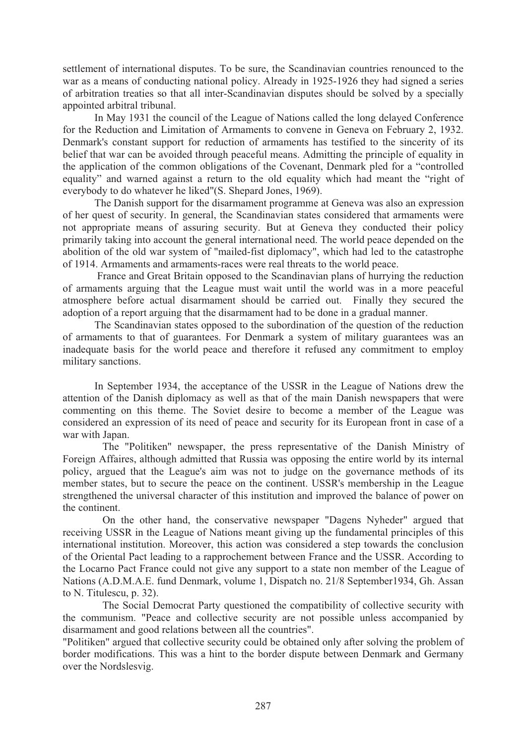settlement of international disputes. To be sure, the Scandinavian countries renounced to the war as a means of conducting national policy. Already in 1925-1926 they had signed a series of arbitration treaties so that all inter-Scandinavian disputes should be solved by a specially appointed arbitral tribunal.

 In May 1931 the council of the League of Nations called the long delayed Conference for the Reduction and Limitation of Armaments to convene in Geneva on February 2, 1932. Denmark's constant support for reduction of armaments has testified to the sincerity of its belief that war can be avoided through peaceful means. Admitting the principle of equality in the application of the common obligations of the Covenant, Denmark pled for a "controlled equality" and warned against a return to the old equality which had meant the "right of everybody to do whatever he liked"(S. Shepard Jones, 1969).

The Danish support for the disarmament programme at Geneva was also an expression of her quest of security. In general, the Scandinavian states considered that armaments were not appropriate means of assuring security. But at Geneva they conducted their policy primarily taking into account the general international need. The world peace depended on the abolition of the old war system of "mailed-fist diplomacy", which had led to the catastrophe of 1914. Armaments and armaments-races were real threats to the world peace.

 France and Great Britain opposed to the Scandinavian plans of hurrying the reduction of armaments arguing that the League must wait until the world was in a more peaceful atmosphere before actual disarmament should be carried out. Finally they secured the adoption of a report arguing that the disarmament had to be done in a gradual manner.

 The Scandinavian states opposed to the subordination of the question of the reduction of armaments to that of guarantees. For Denmark a system of military guarantees was an inadequate basis for the world peace and therefore it refused any commitment to employ military sanctions.

In September 1934, the acceptance of the USSR in the League of Nations drew the attention of the Danish diplomacy as well as that of the main Danish newspapers that were commenting on this theme. The Soviet desire to become a member of the League was considered an expression of its need of peace and security for its European front in case of a war with Japan.

 The "Politiken" newspaper, the press representative of the Danish Ministry of Foreign Affaires, although admitted that Russia was opposing the entire world by its internal policy, argued that the League's aim was not to judge on the governance methods of its member states, but to secure the peace on the continent. USSR's membership in the League strengthened the universal character of this institution and improved the balance of power on the continent.

On the other hand, the conservative newspaper "Dagens Nyheder" argued that receiving USSR in the League of Nations meant giving up the fundamental principles of this international institution. Moreover, this action was considered a step towards the conclusion of the Oriental Pact leading to a rapprochement between France and the USSR. According to the Locarno Pact France could not give any support to a state non member of the League of Nations (A.D.M.A.E. fund Denmark, volume 1, Dispatch no. 21/8 September1934, Gh. Assan to N. Titulescu, p. 32).

The Social Democrat Party questioned the compatibility of collective security with the communism. "Peace and collective security are not possible unless accompanied by disarmament and good relations between all the countries".

"Politiken" argued that collective security could be obtained only after solving the problem of border modifications. This was a hint to the border dispute between Denmark and Germany over the Nordslesvig.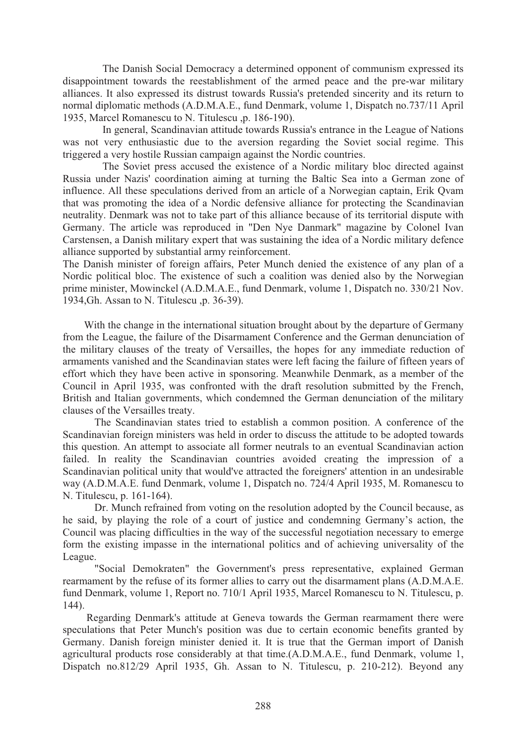The Danish Social Democracy a determined opponent of communism expressed its disappointment towards the reestablishment of the armed peace and the pre-war military alliances. It also expressed its distrust towards Russia's pretended sincerity and its return to normal diplomatic methods (A.D.M.A.E., fund Denmark, volume 1, Dispatch no.737/11 April 1935, Marcel Romanescu to N. Titulescu ,p. 186-190).

In general, Scandinavian attitude towards Russia's entrance in the League of Nations was not very enthusiastic due to the aversion regarding the Soviet social regime. This triggered a very hostile Russian campaign against the Nordic countries.

 The Soviet press accused the existence of a Nordic military bloc directed against Russia under Nazis' coordination aiming at turning the Baltic Sea into a German zone of influence. All these speculations derived from an article of a Norwegian captain, Erik Qvam that was promoting the idea of a Nordic defensive alliance for protecting the Scandinavian neutrality. Denmark was not to take part of this alliance because of its territorial dispute with Germany. The article was reproduced in "Den Nye Danmark" magazine by Colonel Ivan Carstensen, a Danish military expert that was sustaining the idea of a Nordic military defence alliance supported by substantial army reinforcement.

The Danish minister of foreign affairs, Peter Munch denied the existence of any plan of a Nordic political bloc. The existence of such a coalition was denied also by the Norwegian prime minister, Mowinckel (A.D.M.A.E., fund Denmark, volume 1, Dispatch no. 330/21 Nov. 1934,Gh. Assan to N. Titulescu ,p. 36-39).

 With the change in the international situation brought about by the departure of Germany from the League, the failure of the Disarmament Conference and the German denunciation of the military clauses of the treaty of Versailles, the hopes for any immediate reduction of armaments vanished and the Scandinavian states were left facing the failure of fifteen years of effort which they have been active in sponsoring. Meanwhile Denmark, as a member of the Council in April 1935, was confronted with the draft resolution submitted by the French, British and Italian governments, which condemned the German denunciation of the military clauses of the Versailles treaty.

The Scandinavian states tried to establish a common position. A conference of the Scandinavian foreign ministers was held in order to discuss the attitude to be adopted towards this question. An attempt to associate all former neutrals to an eventual Scandinavian action failed. In reality the Scandinavian countries avoided creating the impression of a Scandinavian political unity that would've attracted the foreigners' attention in an undesirable way (A.D.M.A.E. fund Denmark, volume 1, Dispatch no. 724/4 April 1935, M. Romanescu to N. Titulescu, p. 161-164).

Dr. Munch refrained from voting on the resolution adopted by the Council because, as he said, by playing the role of a court of justice and condemning Germany's action, the Council was placing difficulties in the way of the successful negotiation necessary to emerge form the existing impasse in the international politics and of achieving universality of the League.

"Social Demokraten" the Government's press representative, explained German rearmament by the refuse of its former allies to carry out the disarmament plans (A.D.M.A.E. fund Denmark, volume 1, Report no. 710/1 April 1935, Marcel Romanescu to N. Titulescu, p. 144).

Regarding Denmark's attitude at Geneva towards the German rearmament there were speculations that Peter Munch's position was due to certain economic benefits granted by Germany. Danish foreign minister denied it. It is true that the German import of Danish agricultural products rose considerably at that time.(A.D.M.A.E., fund Denmark, volume 1, Dispatch no.812/29 April 1935, Gh. Assan to N. Titulescu, p. 210-212). Beyond any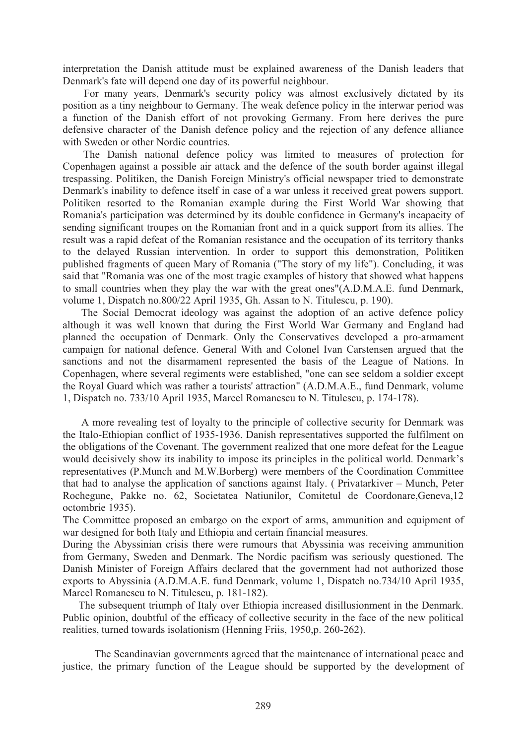interpretation the Danish attitude must be explained awareness of the Danish leaders that Denmark's fate will depend one day of its powerful neighbour.

 For many years, Denmark's security policy was almost exclusively dictated by its position as a tiny neighbour to Germany. The weak defence policy in the interwar period was a function of the Danish effort of not provoking Germany. From here derives the pure defensive character of the Danish defence policy and the rejection of any defence alliance with Sweden or other Nordic countries.

The Danish national defence policy was limited to measures of protection for Copenhagen against a possible air attack and the defence of the south border against illegal trespassing. Politiken, the Danish Foreign Ministry's official newspaper tried to demonstrate Denmark's inability to defence itself in case of a war unless it received great powers support. Politiken resorted to the Romanian example during the First World War showing that Romania's participation was determined by its double confidence in Germany's incapacity of sending significant troupes on the Romanian front and in a quick support from its allies. The result was a rapid defeat of the Romanian resistance and the occupation of its territory thanks to the delayed Russian intervention. In order to support this demonstration, Politiken published fragments of queen Mary of Romania ("The story of my life"). Concluding, it was said that "Romania was one of the most tragic examples of history that showed what happens to small countries when they play the war with the great ones"(A.D.M.A.E. fund Denmark, volume 1, Dispatch no.800/22 April 1935, Gh. Assan to N. Titulescu, p. 190).

The Social Democrat ideology was against the adoption of an active defence policy although it was well known that during the First World War Germany and England had planned the occupation of Denmark. Only the Conservatives developed a pro-armament campaign for national defence. General With and Colonel Ivan Carstensen argued that the sanctions and not the disarmament represented the basis of the League of Nations. In Copenhagen, where several regiments were established, "one can see seldom a soldier except the Royal Guard which was rather a tourists' attraction" (A.D.M.A.E., fund Denmark, volume 1, Dispatch no. 733/10 April 1935, Marcel Romanescu to N. Titulescu, p. 174-178).

 A more revealing test of loyalty to the principle of collective security for Denmark was the Italo-Ethiopian conflict of 1935-1936. Danish representatives supported the fulfilment on the obligations of the Covenant. The government realized that one more defeat for the League would decisively show its inability to impose its principles in the political world. Denmark's representatives (P.Munch and M.W.Borberg) were members of the Coordination Committee that had to analyse the application of sanctions against Italy. ( Privatarkiver – Munch, Peter Rochegune, Pakke no. 62, Societatea Natiunilor, Comitetul de Coordonare,Geneva,12 octombrie 1935).

The Committee proposed an embargo on the export of arms, ammunition and equipment of war designed for both Italy and Ethiopia and certain financial measures.

During the Abyssinian crisis there were rumours that Abyssinia was receiving ammunition from Germany, Sweden and Denmark. The Nordic pacifism was seriously questioned. The Danish Minister of Foreign Affairs declared that the government had not authorized those exports to Abyssinia (A.D.M.A.E. fund Denmark, volume 1, Dispatch no.734/10 April 1935, Marcel Romanescu to N. Titulescu, p. 181-182).

 The subsequent triumph of Italy over Ethiopia increased disillusionment in the Denmark. Public opinion, doubtful of the efficacy of collective security in the face of the new political realities, turned towards isolationism (Henning Friis, 1950,p. 260-262).

The Scandinavian governments agreed that the maintenance of international peace and justice, the primary function of the League should be supported by the development of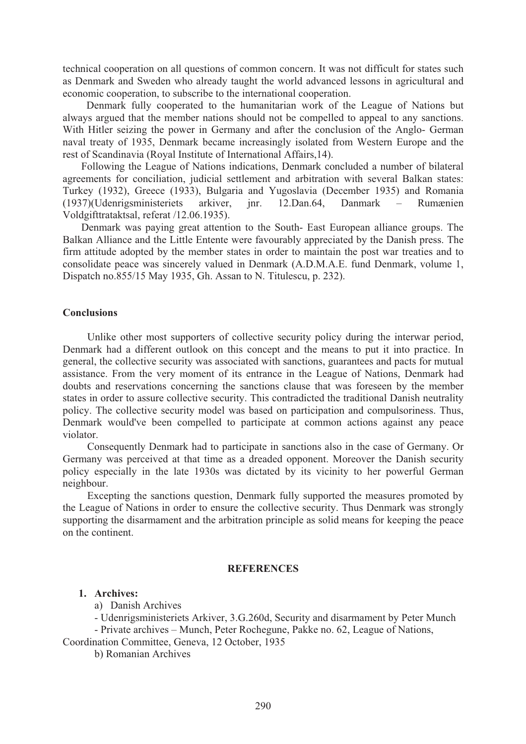technical cooperation on all questions of common concern. It was not difficult for states such as Denmark and Sweden who already taught the world advanced lessons in agricultural and economic cooperation, to subscribe to the international cooperation.

 Denmark fully cooperated to the humanitarian work of the League of Nations but always argued that the member nations should not be compelled to appeal to any sanctions. With Hitler seizing the power in Germany and after the conclusion of the Anglo- German naval treaty of 1935, Denmark became increasingly isolated from Western Europe and the rest of Scandinavia (Royal Institute of International Affairs,14).

 Following the League of Nations indications, Denmark concluded a number of bilateral agreements for conciliation, judicial settlement and arbitration with several Balkan states: Turkey (1932), Greece (1933), Bulgaria and Yugoslavia (December 1935) and Romania (1937)(Udenrigsministeriets arkiver, jnr. 12.Dan.64, Danmark – Rumænien Voldgifttrataktsal, referat /12.06.1935).

 Denmark was paying great attention to the South- East European alliance groups. The Balkan Alliance and the Little Entente were favourably appreciated by the Danish press. The firm attitude adopted by the member states in order to maintain the post war treaties and to consolidate peace was sincerely valued in Denmark (A.D.M.A.E. fund Denmark, volume 1, Dispatch no.855/15 May 1935, Gh. Assan to N. Titulescu, p. 232).

#### **Conclusions**

 Unlike other most supporters of collective security policy during the interwar period, Denmark had a different outlook on this concept and the means to put it into practice. In general, the collective security was associated with sanctions, guarantees and pacts for mutual assistance. From the very moment of its entrance in the League of Nations, Denmark had doubts and reservations concerning the sanctions clause that was foreseen by the member states in order to assure collective security. This contradicted the traditional Danish neutrality policy. The collective security model was based on participation and compulsoriness. Thus, Denmark would've been compelled to participate at common actions against any peace violator.

 Consequently Denmark had to participate in sanctions also in the case of Germany. Or Germany was perceived at that time as a dreaded opponent. Moreover the Danish security policy especially in the late 1930s was dictated by its vicinity to her powerful German neighbour.

 Excepting the sanctions question, Denmark fully supported the measures promoted by the League of Nations in order to ensure the collective security. Thus Denmark was strongly supporting the disarmament and the arbitration principle as solid means for keeping the peace on the continent.

# **REFERENCES**

## **1. Archives:**

a) Danish Archives

- Udenrigsministeriets Arkiver, 3.G.260d, Security and disarmament by Peter Munch - Private archives – Munch, Peter Rochegune, Pakke no. 62, League of Nations, Coordination Committee, Geneva, 12 October, 1935

b) Romanian Archives